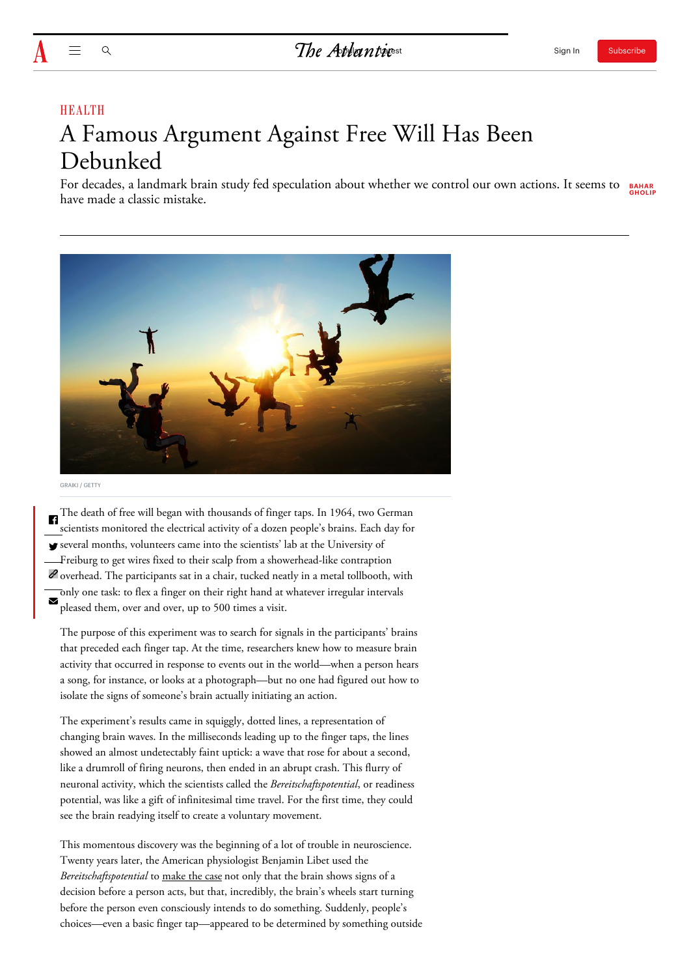## [HEALTH](https://www.theatlantic.com/health/)

## A Famous Argument Against Free Will Has Been Debunked

For decades, a landmark brain study fed speculation about whether we control our own actions. It seems to have made a classic mistake. BAHAR<br>GHOLIP



GRAIKI / GETTY

[T](https://www.facebook.com/sharer/sharer.php?u=https%253A//www.theatlantic.com/health/archive/2019/09/free-will-bereitschaftspotential/597736/%253Futm_source%253Dfacebook%2526utm_medium%253Dsocial%2526utm_campaign%253Dshare)he death of free will began with thousands of finger taps. In 1964, two German scientists monitored the electrical activity of a dozen people's brains. Each day for [s](https://twitter.com/intent/tweet?text=Many%20arguments%20against%20free%20will%20say%20that%20our%20brains%20make%20decisions%20before%20we%2527re%20even%20aware%20of%20them.%20But%20the%20experiment%20that%20introduced%20this%20idea%20missed%20something%20crucial%252C%20writes%20%2540BaharGholipour%253A&url=https%253A//www.theatlantic.com/health/archive/2019/09/free-will-bereitschaftspotential/597736/%253Futm_source%253Dtwitter%2526utm_medium%253Dsocial%2526utm_campaign%253Dshare)everal months, volunteers came into the scientists' lab at the University of Freiburg to get wires fixed to their scalp from a showerhead-like contraption  $\mathscr O$  overhead. The participants sat in a chair, tucked neatly in a metal tollbooth, with only one task: to flex a finger on their right hand at whatever irregular intervals [p](mailto:?&subject=A%20Famous%20Argument%20Against%20Free%20Will%20Has%20Been%20Debunked&body=For%20decades%252C%20a%20landmark%20brain%20study%20fed%20speculation%20about%20whether%20we%20control%20our%20own%20actions.%20It%20seems%20to%20have%20made%20a%20classic%20mistake.%250A%250ARead%20More:%250Ahttps%253A//www.theatlantic.com/health/archive/2019/09/free-will-bereitschaftspotential/597736/%253Futm_source=atl%2526utm_medium=email%2526utm_campaign=share)leased them, over and over, up to 500 times a visit.

The purpose of this experiment was to search for signals in the participants' brains that preceded each finger tap. At the time, researchers knew how to measure brain activity that occurred in response to events out in the world—when a person hears a song, for instance, or looks at a photograph—but no one had figured out how to isolate the signs of someone's brain actually initiating an action.

The experiment's results came in squiggly, dotted lines, a representation of changing brain waves. In the milliseconds leading up to the finger taps, the lines showed an almost undetectably faint uptick: a wave that rose for about a second, like a drumroll of firing neurons, then ended in an abrupt crash. This flurry of neuronal activity, which the scientists called the *Bereitschaftspotential*, or readiness potential, was like a gift of infinitesimal time travel. For the first time, they could see the brain readying itself to create a voluntary movement.

This momentous discovery was the beginning of a lot of trouble in neuroscience. Twenty years later, the American physiologist Benjamin Libet used the *Bereitschaftspotential* to [make](https://www.ncbi.nlm.nih.gov/pubmed/6640273) the case not only that the brain shows signs of a decision before a person acts, but that, incredibly, the brain's wheels start turning before the person even consciously intends to do something. Suddenly, people's choices—even a basic finger tap—appeared to be determined by something outside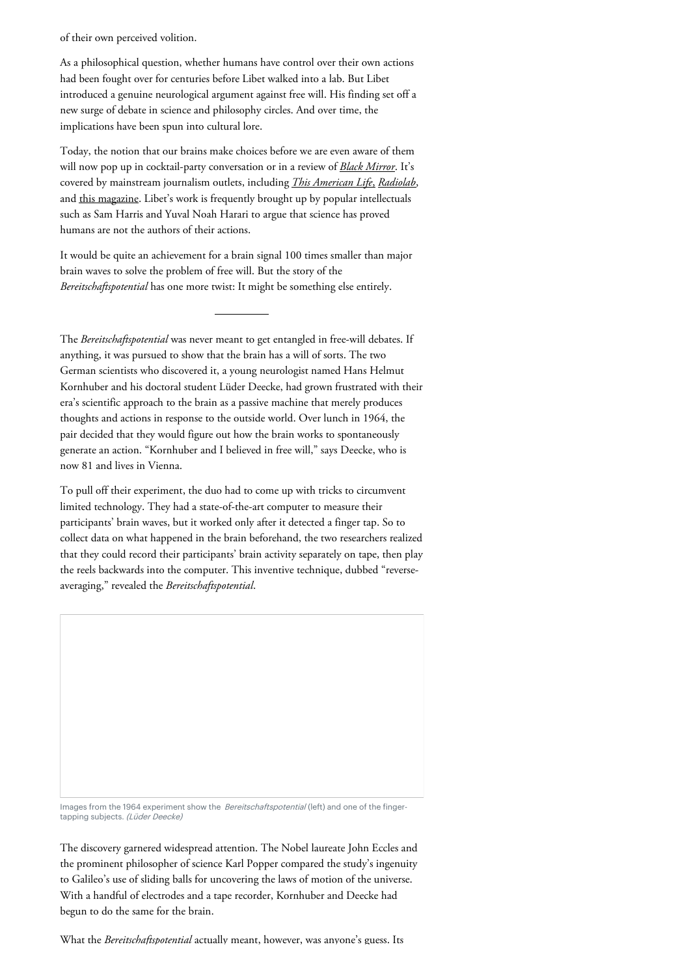of their own perceived volition.

As a philosophical question, whether humans have control over their own actions had been fought over for centuries before Libet walked into a lab. But Libet introduced a genuine neurological argument against free will. His finding set off a new surge of debate in science and philosophy circles. And over time, the implications have been spun into cultural lore.

Today, the notion that our brains make choices before we are even aware of them will now pop up in cocktail-party conversation or in a review of *Black [Mirror](http://www.syfy.com/syfywire/science-behind-the-fiction-what-does-black-mirror-bandersnatch-tell-us-about-free-will)*. It's covered by mainstream journalism outlets, including *This [American](https://www.thisamericanlife.org/662/where-there-is-a-will/act-two-7) Life*[,](https://www.thisamericanlife.org/662/where-there-is-a-will/act-two-7) *[Radiolab](https://www.wnycstudios.org/story/revising-fault-line)*, and this [magazine](https://www.theatlantic.com/magazine/archive/2016/06/theres-no-such-thing-as-free-will/480750/). Libet's work is frequently brought up by popular intellectuals such as Sam Harris and Yuval Noah Harari to argue that science has proved humans are not the authors of their actions.

It would be quite an achievement for a brain signal 100 times smaller than major brain waves to solve the problem of free will. But the story of the *Bereitschaftspotential* has one more twist: It might be something else entirely.

The *Bereitschaftspotential* was never meant to get entangled in free-will debates. If anything, it was pursued to show that the brain has a will of sorts. The two German scientists who discovered it, a young neurologist named Hans Helmut Kornhuber and his doctoral student Lüder Deecke, had grown frustrated with their era's scientific approach to the brain as a passive machine that merely produces thoughts and actions in response to the outside world. Over lunch in 1964, the pair decided that they would figure out how the brain works to spontaneously generate an action. "Kornhuber and I believed in free will," says Deecke, who is now 81 and lives in Vienna.

To pull off their experiment, the duo had to come up with tricks to circumvent limited technology. They had a state-of-the-art computer to measure their participants' brain waves, but it worked only after it detected a finger tap. So to collect data on what happened in the brain beforehand, the two researchers realized that they could record their participants' brain activity separately on tape, then play the reels backwards into the computer. This inventive technique, dubbed "reverseaveraging," revealed the *Bereitschaftspotential*.



Images from the 1964 experiment show the Bereitschaftspotential (left) and one of the fingertapping subjects. (Lüder Deecke)

The discovery garnered widespread attention. The Nobel laureate John Eccles and the prominent philosopher of science Karl Popper compared the study's ingenuity to Galileo's use of sliding balls for uncovering the laws of motion of the universe. With a handful of electrodes and a tape recorder, Kornhuber and Deecke had begun to do the same for the brain.

What the *Bereitschaftspotential* actually meant, however, was anyone's guess. Its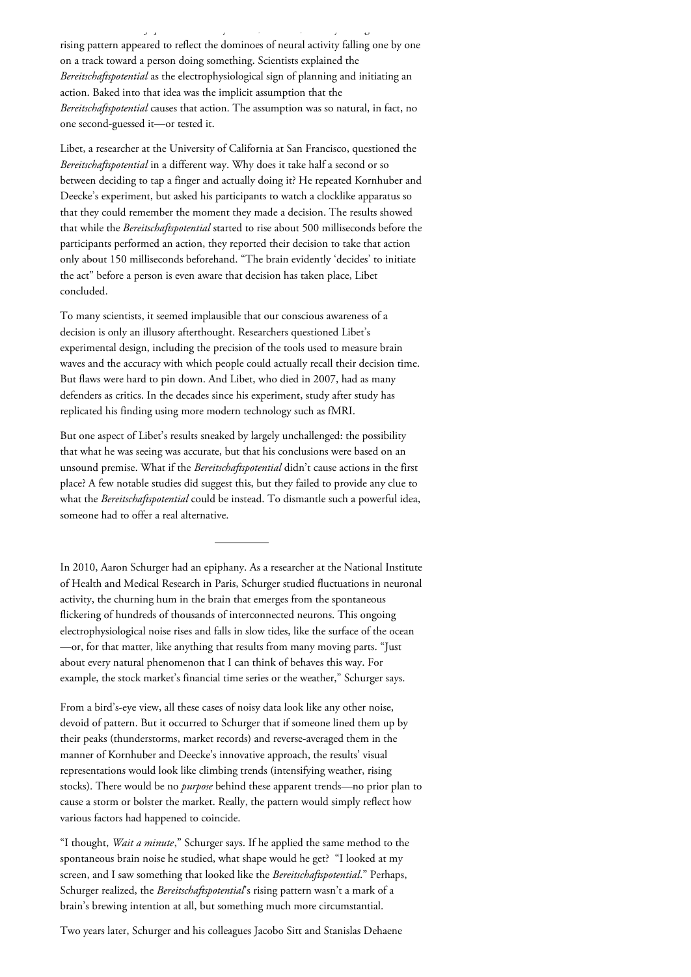rising pattern appeared to reflect the dominoes of neural activity falling one by one on a track toward a person doing something. Scientists explained the *Bereitschaftspotential* as the electrophysiological sign of planning and initiating an action. Baked into that idea was the implicit assumption that the *Bereitschaftspotential* causes that action. The assumption was so natural, in fact, no one second-guessed it—or tested it.

What the *Bereitschaftspotential* actually meant, however, was anyone's guess. Its

Libet, a researcher at the University of California at San Francisco, questioned the *Bereitschaftspotential* in a different way. Why does it take half a second or so between deciding to tap a finger and actually doing it? He repeated Kornhuber and Deecke's experiment, but asked his participants to watch a clocklike apparatus so that they could remember the moment they made a decision. The results showed that while the *Bereitschaftspotential* started to rise about 500 milliseconds before the participants performed an action, they reported their decision to take that action only about 150 milliseconds beforehand. "The brain evidently 'decides' to initiate the act" before a person is even aware that decision has taken place, Libet concluded.

To many scientists, it seemed implausible that our conscious awareness of a decision is only an illusory afterthought. Researchers questioned Libet's experimental design, including the precision of the tools used to measure brain waves and the accuracy with which people could actually recall their decision time. But flaws were hard to pin down. And Libet, who died in 2007, had as many defenders as critics. In the decades since his experiment, study after study has replicated his finding using more modern technology such as fMRI.

But one aspect of Libet's results sneaked by largely unchallenged: the possibility that what he was seeing was accurate, but that his conclusions were based on an unsound premise. What if the *Bereitschaftspotential* didn't cause actions in the first place? A few notable studies did suggest this, but they failed to provide any clue to what the *Bereitschaftspotential* could be instead. To dismantle such a powerful idea, someone had to offer a real alternative.

In 2010, Aaron Schurger had an epiphany. As a researcher at the National Institute of Health and Medical Research in Paris, Schurger studied fluctuations in neuronal activity, the churning hum in the brain that emerges from the spontaneous flickering of hundreds of thousands of interconnected neurons. This ongoing electrophysiological noise rises and falls in slow tides, like the surface of the ocean —or, for that matter, like anything that results from many moving parts. "Just about every natural phenomenon that I can think of behaves this way. For example, the stock market's financial time series or the weather," Schurger says.

From a bird's-eye view, all these cases of noisy data look like any other noise, devoid of pattern. But it occurred to Schurger that if someone lined them up by their peaks (thunderstorms, market records) and reverse-averaged them in the manner of Kornhuber and Deecke's innovative approach, the results' visual representations would look like climbing trends (intensifying weather, rising stocks). There would be no *purpose* behind these apparent trends—no prior plan to cause a storm or bolster the market. Really, the pattern would simply reflect how various factors had happened to coincide.

"I thought, *Wait a minute*," Schurger says. If he applied the same method to the spontaneous brain noise he studied, what shape would he get? "I looked at my screen, and I saw something that looked like the *Bereitschaftspotential*." Perhaps, Schurger realized, the *Bereitschaftspotential*'s rising pattern wasn't a mark of a brain's brewing intention at all, but something much more circumstantial.

Two years later, Schurger and his colleagues Jacobo Sitt and Stanislas Dehaene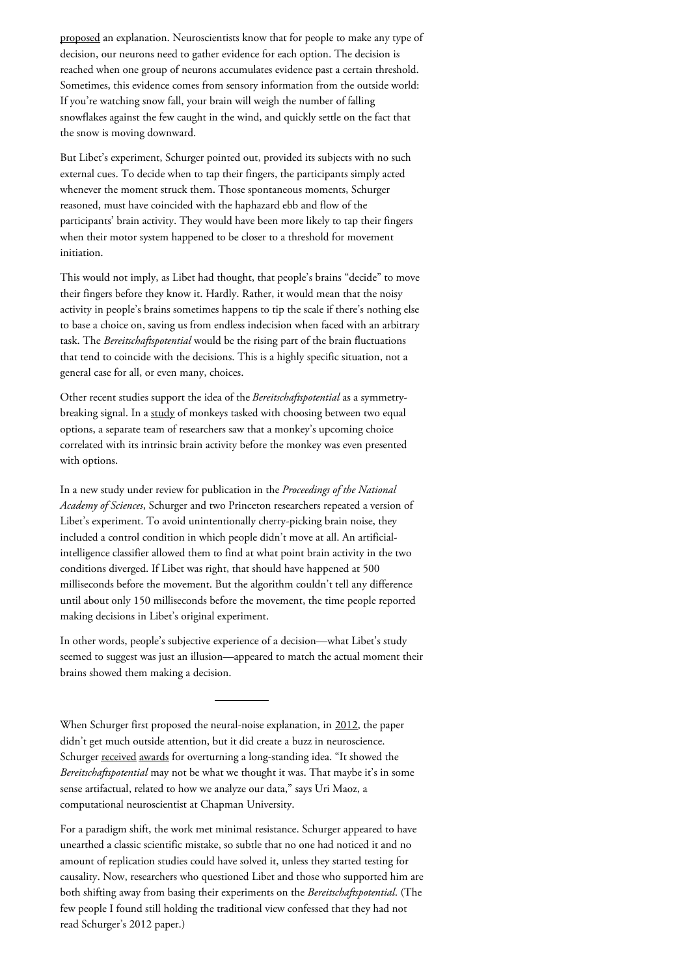[proposed](https://www.pnas.org/content/109/42/e2904) an explanation. Neuroscientists know that for people to make any type of decision, our neurons need to gather evidence for each option. The decision is reached when one group of neurons accumulates evidence past a certain threshold. Sometimes, this evidence comes from sensory information from the outside world: If you're watching snow fall, your brain will weigh the number of falling snowflakes against the few caught in the wind, and quickly settle on the fact that the snow is moving downward.

But Libet's experiment, Schurger pointed out, provided its subjects with no such external cues. To decide when to tap their fingers, the participants simply acted whenever the moment struck them. Those spontaneous moments, Schurger reasoned, must have coincided with the haphazard ebb and flow of the participants' brain activity. They would have been more likely to tap their fingers when their motor system happened to be closer to a threshold for movement initiation.

This would not imply, as Libet had thought, that people's brains "decide" to move their fingers before they know it. Hardly. Rather, it would mean that the noisy activity in people's brains sometimes happens to tip the scale if there's nothing else to base a choice on, saving us from endless indecision when faced with an arbitrary task. The *Bereitschaftspotential* would be the rising part of the brain fluctuations that tend to coincide with the decisions. This is a highly specific situation, not a general case for all, or even many, choices.

Other recent studies support the idea of the *Bereitschaftspotential* as a symmetrybreaking signal. In a [study](https://www.ncbi.nlm.nih.gov/pmc/articles/PMC3840801/) of monkeys tasked with choosing between two equal options, a separate team of researchers saw that a monkey's upcoming choice correlated with its intrinsic brain activity before the monkey was even presented with options.

In a new study under review for publication in the *Proceedings of the National Academy of Sciences*, Schurger and two Princeton researchers repeated a version of Libet's experiment. To avoid unintentionally cherry-picking brain noise, they included a control condition in which people didn't move at all. An artificialintelligence classifier allowed them to find at what point brain activity in the two conditions diverged. If Libet was right, that should have happened at 500 milliseconds before the movement. But the algorithm couldn't tell any difference until about only 150 milliseconds before the movement, the time people reported making decisions in Libet's original experiment.

In other words, people's subjective experience of a decision—what Libet's study seemed to suggest was just an illusion—appeared to match the actual moment their brains showed them making a decision.

When Schurger first proposed the neural-noise explanation, in [2012](http://www.pnas.org/content/109/42/E2904.abstract), the paper didn't get much outside attention, but it did create a buzz in neuroscience. Schurger [received](https://theassc.org/previous-winners/) [awards](https://actu.epfl.ch/news/dr-aaron-schurger-awarded-with-the-kaloy-prize-2-4/) for overturning a long-standing idea. "It showed the *Bereitschaftspotential* may not be what we thought it was. That maybe it's in some sense artifactual, related to how we analyze our data," says Uri Maoz, a computational neuroscientist at Chapman University.

For a paradigm shift, the work met minimal resistance. Schurger appeared to have unearthed a classic scientific mistake, so subtle that no one had noticed it and no amount of replication studies could have solved it, unless they started testing for causality. Now, researchers who questioned Libet and those who supported him are both shifting away from basing their experiments on the *Bereitschaftspotential*. (The few people I found still holding the traditional view confessed that they had not read Schurger's 2012 paper.)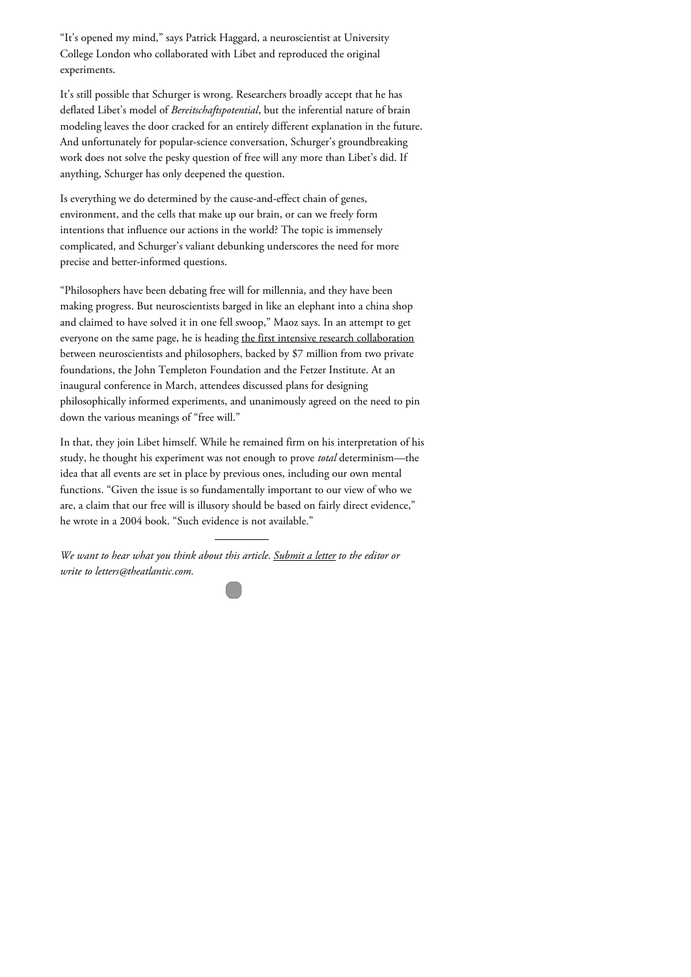"It's opened my mind," says Patrick Haggard, a neuroscientist at University College London who collaborated with Libet and reproduced the original experiments.

It's still possible that Schurger is wrong. Researchers broadly accept that he has deflated Libet's model of *Bereitschaftspotential*, but the inferential nature of brain modeling leaves the door cracked for an entirely different explanation in the future. And unfortunately for popular-science conversation, Schurger's groundbreaking work does not solve the pesky question of free will any more than Libet's did. If anything, Schurger has only deepened the question.

Is everything we do determined by the cause-and-effect chain of genes, environment, and the cells that make up our brain, or can we freely form intentions that influence our actions in the world? The topic is immensely complicated, and Schurger's valiant debunking underscores the need for more precise and better-informed questions.

"Philosophers have been debating free will for millennia, and they have been making progress. But neuroscientists barged in like an elephant into a china shop and claimed to have solved it in one fell swoop," Maoz says. In an attempt to get everyone on the same page, he is heading the first intensive research [collaboration](https://www.sciencemag.org/news/2019/03/philosophers-and-neuroscientists-join-forces-see-whether-science-can-solve-mystery-free?utm_campaign=SciMag&utm_source=JHubbard&utm_medium=Facebook) between neuroscientists and philosophers, backed by \$7 million from two private foundations, the John Templeton Foundation and the Fetzer Institute. At an inaugural conference in March, attendees discussed plans for designing philosophically informed experiments, and unanimously agreed on the need to pin down the various meanings of "free will."

In that, they join Libet himself. While he remained firm on his interpretation of his study, he thought his experiment was not enough to prove *total* determinism—the idea that all events are set in place by previous ones, including our own mental functions. "Given the issue is so fundamentally important to our view of who we are, a claim that our free will is illusory should be based on fairly direct evidence," he wrote in a 2004 book. "Such evidence is not available."

*We want to hear what you think about this article. [Submit](https://www.theatlantic.com/contact/letters/) a letter to the editor or write to letters@theatlantic.com.*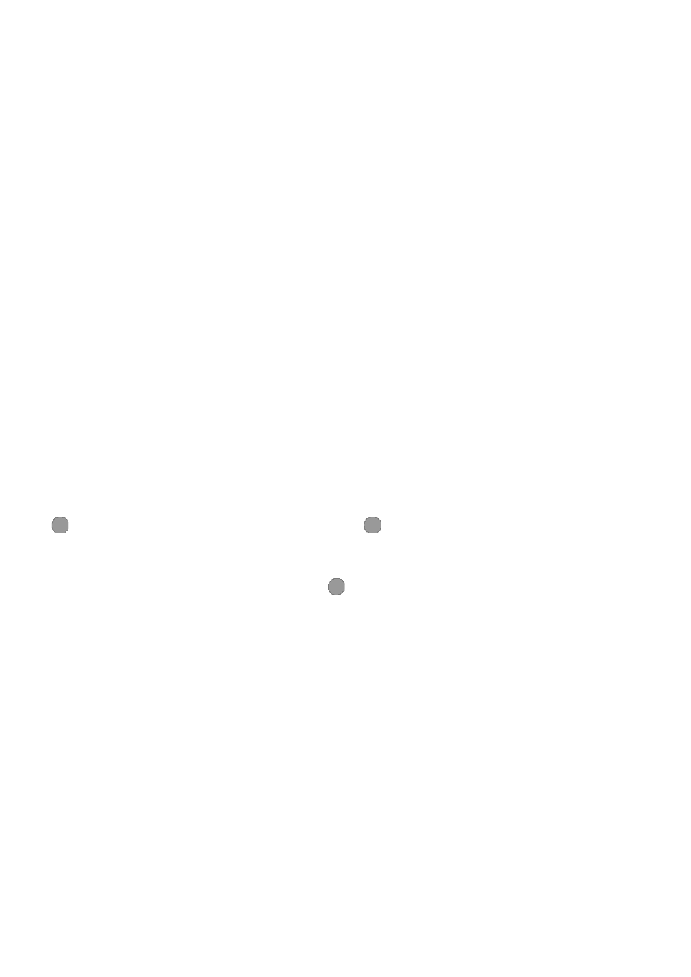